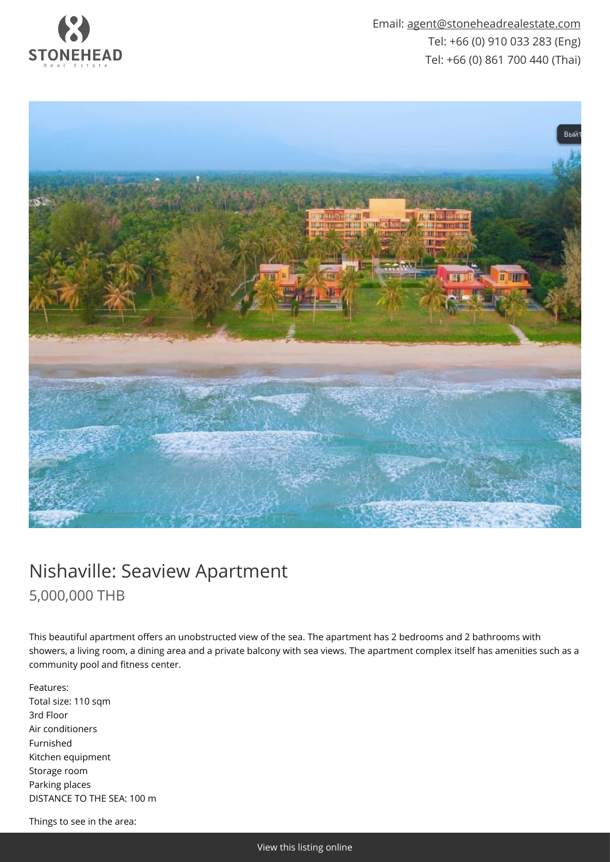

Email: [agent@stoneheadrealestate.com](mailto:agent@stoneheadrealestate.com) Tel: +66 (0) 910 033 283 (Eng) Tel: +66 (0) 861 700 440 (Thai)



## Nishaville: Seaview Apartment 5,000,000 THB

This beautiful apartment offers an unobstructed view of the sea. The apartment has 2 bedrooms and 2 bathrooms with showers, a living room, a dining area and a private balcony with sea views. The apartment complex itself has amenities such as a community pool and fitness center.

Features: Total size: 110 sqm 3rd Floor Air conditioners Furnished Kitchen equipment Storage room Parking places DISTANCE TO THE SEA: 100 m

Things to see in the area: